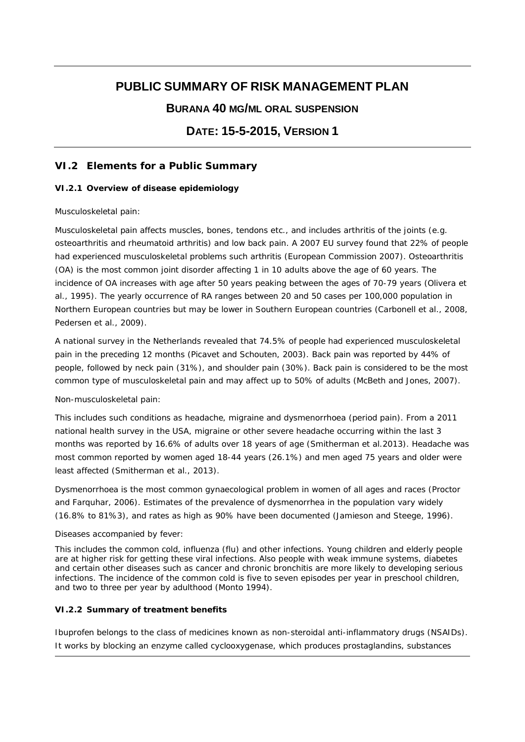# **PUBLIC SUMMARY OF RISK MANAGEMENT PLAN**

# **BURANA 40 MG/ML ORAL SUSPENSION**

# **DATE: 15-5-2015, VERSION 1**

# **VI.2 Elements for a Public Summary**

#### *VI.2.1 Overview of disease epidemiology*

#### *Musculoskeletal pain*:

Musculoskeletal pain affects muscles, bones, tendons etc., and includes arthritis of the joints (e.g. osteoarthritis and rheumatoid arthritis) and low back pain. A 2007 EU survey found that 22% of people had experienced musculoskeletal problems such arthritis (European Commission 2007). Osteoarthritis (OA) is the most common joint disorder affecting 1 in 10 adults above the age of 60 years. The incidence of OA increases with age after 50 years peaking between the ages of 70-79 years (Olivera et al., 1995). The yearly occurrence of RA ranges between 20 and 50 cases per 100,000 population in Northern European countries but may be lower in Southern European countries (Carbonell et al., 2008, Pedersen et al., 2009).

A national survey in the Netherlands revealed that 74.5% of people had experienced musculoskeletal pain in the preceding 12 months (Picavet and Schouten, 2003). Back pain was reported by 44% of people, followed by neck pain (31%), and shoulder pain (30%). Back pain is considered to be the most common type of musculoskeletal pain and may affect up to 50% of adults (McBeth and Jones, 2007).

#### *Non-musculoskeletal pain*:

This includes such conditions as headache, migraine and dysmenorrhoea (period pain). From a 2011 national health survey in the USA, migraine or other severe headache occurring within the last 3 months was reported by 16.6% of adults over 18 years of age (Smitherman et al.2013). Headache was most common reported by women aged 18-44 years (26.1%) and men aged 75 years and older were least affected (Smitherman et al., 2013).

Dysmenorrhoea is the most common gynaecological problem in women of all ages and races (Proctor and Farquhar, 2006). Estimates of the prevalence of dysmenorrhea in the population vary widely (16.8% to 81%3), and rates as high as 90% have been documented (Jamieson and Steege, 1996).

#### *Diseases accompanied by fever*:

This includes the common cold, influenza (flu) and other infections. Young children and elderly people are at higher risk for getting these viral infections. Also people with weak immune systems, diabetes and certain other diseases such as cancer and chronic bronchitis are more likely to developing serious infections. The incidence of the common cold is five to seven episodes per year in preschool children, and two to three per year by adulthood (Monto 1994).

### *VI.2.2 Summary of treatment benefits*

Ibuprofen belongs to the class of medicines known as non-steroidal anti-inflammatory drugs (NSAIDs). It works by blocking an enzyme called cyclooxygenase, which produces prostaglandins, substances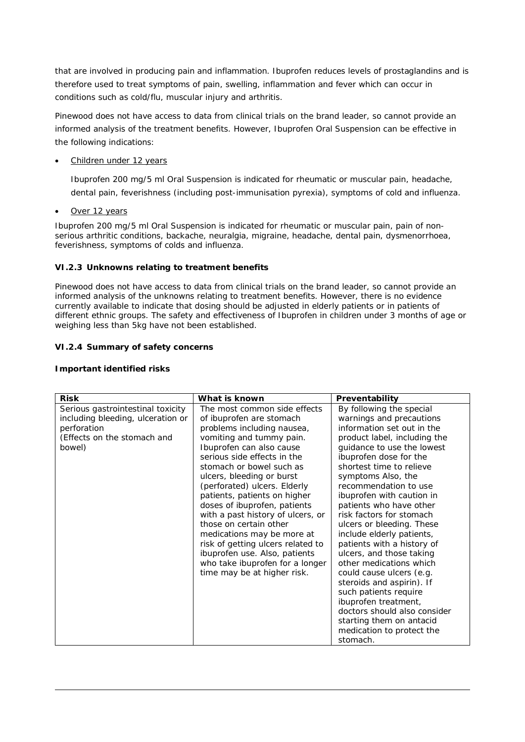that are involved in producing pain and inflammation. Ibuprofen reduces levels of prostaglandins and is therefore used to treat symptoms of pain, swelling, inflammation and fever which can occur in conditions such as cold/flu, muscular injury and arthritis.

Pinewood does not have access to data from clinical trials on the brand leader, so cannot provide an informed analysis of the treatment benefits. However, Ibuprofen Oral Suspension can be effective in the following indications:

#### Children under 12 years

Ibuprofen 200 mg/5 ml Oral Suspension is indicated for rheumatic or muscular pain, headache, dental pain, feverishness (including post-immunisation pyrexia), symptoms of cold and influenza.

#### Over 12 years

Ibuprofen 200 mg/5 ml Oral Suspension is indicated for rheumatic or muscular pain, pain of nonserious arthritic conditions, backache, neuralgia, migraine, headache, dental pain, dysmenorrhoea, feverishness, symptoms of colds and influenza.

#### *VI.2.3 Unknowns relating to treatment benefits*

Pinewood does not have access to data from clinical trials on the brand leader, so cannot provide an informed analysis of the unknowns relating to treatment benefits. However, there is no evidence currently available to indicate that dosing should be adjusted in elderly patients or in patients of different ethnic groups. The safety and effectiveness of Ibuprofen in children under 3 months of age or weighing less than 5kg have not been established.

#### *VI.2.4 Summary of safety concerns*

**Important identified risks**

| Risk                                                                                                                           | What is known                                                                                                                                                                                                                                                                                                                                                                                                                                                                                                                                                               | Preventability                                                                                                                                                                                                                                                                                                                                                                                                                                                                                                                                                                                                                                                                                          |
|--------------------------------------------------------------------------------------------------------------------------------|-----------------------------------------------------------------------------------------------------------------------------------------------------------------------------------------------------------------------------------------------------------------------------------------------------------------------------------------------------------------------------------------------------------------------------------------------------------------------------------------------------------------------------------------------------------------------------|---------------------------------------------------------------------------------------------------------------------------------------------------------------------------------------------------------------------------------------------------------------------------------------------------------------------------------------------------------------------------------------------------------------------------------------------------------------------------------------------------------------------------------------------------------------------------------------------------------------------------------------------------------------------------------------------------------|
| Serious gastrointestinal toxicity<br>including bleeding, ulceration or<br>perforation<br>(Effects on the stomach and<br>bowel) | The most common side effects<br>of ibuprofen are stomach<br>problems including nausea,<br>vomiting and tummy pain.<br>Ibuprofen can also cause<br>serious side effects in the<br>stomach or bowel such as<br>ulcers, bleeding or burst<br>(perforated) ulcers. Elderly<br>patients, patients on higher<br>doses of ibuprofen, patients<br>with a past history of ulcers, or<br>those on certain other<br>medications may be more at<br>risk of getting ulcers related to<br>ibuprofen use. Also, patients<br>who take ibuprofen for a longer<br>time may be at higher risk. | By following the special<br>warnings and precautions<br>information set out in the<br>product label, including the<br>guidance to use the lowest<br>ibuprofen dose for the<br>shortest time to relieve<br>symptoms Also, the<br>recommendation to use<br>ibuprofen with caution in<br>patients who have other<br>risk factors for stomach<br>ulcers or bleeding. These<br>include elderly patients,<br>patients with a history of<br>ulcers, and those taking<br>other medications which<br>could cause ulcers (e.g.<br>steroids and aspirin). If<br>such patients require<br>ibuprofen treatment,<br>doctors should also consider<br>starting them on antacid<br>medication to protect the<br>stomach. |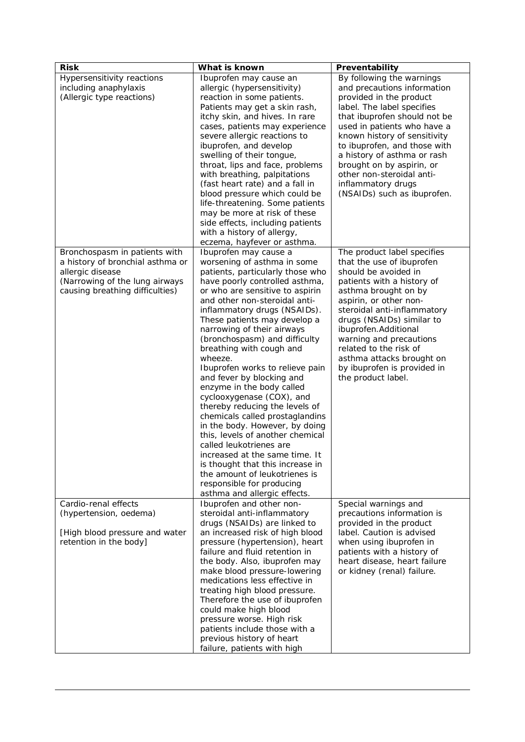| <b>Risk</b>                                                                                                                                                | What is known                                                                                                                                                                                                                                                                                                                                                                                                                                                                                                                                                                                                                                                                                                                                                                                                                                                           | Preventability                                                                                                                                                                                                                                                                                                                                                                                 |
|------------------------------------------------------------------------------------------------------------------------------------------------------------|-------------------------------------------------------------------------------------------------------------------------------------------------------------------------------------------------------------------------------------------------------------------------------------------------------------------------------------------------------------------------------------------------------------------------------------------------------------------------------------------------------------------------------------------------------------------------------------------------------------------------------------------------------------------------------------------------------------------------------------------------------------------------------------------------------------------------------------------------------------------------|------------------------------------------------------------------------------------------------------------------------------------------------------------------------------------------------------------------------------------------------------------------------------------------------------------------------------------------------------------------------------------------------|
| Hypersensitivity reactions<br>including anaphylaxis<br>(Allergic type reactions)                                                                           | Ibuprofen may cause an<br>allergic (hypersensitivity)<br>reaction in some patients.<br>Patients may get a skin rash,<br>itchy skin, and hives. In rare<br>cases, patients may experience<br>severe allergic reactions to<br>ibuprofen, and develop<br>swelling of their tongue,<br>throat, lips and face, problems<br>with breathing, palpitations<br>(fast heart rate) and a fall in<br>blood pressure which could be<br>life-threatening. Some patients<br>may be more at risk of these<br>side effects, including patients<br>with a history of allergy,                                                                                                                                                                                                                                                                                                             | By following the warnings<br>and precautions information<br>provided in the product<br>label. The label specifies<br>that ibuprofen should not be<br>used in patients who have a<br>known history of sensitivity<br>to ibuprofen, and those with<br>a history of asthma or rash<br>brought on by aspirin, or<br>other non-steroidal anti-<br>inflammatory drugs<br>(NSAIDs) such as ibuprofen. |
| Bronchospasm in patients with<br>a history of bronchial asthma or<br>allergic disease<br>(Narrowing of the lung airways<br>causing breathing difficulties) | eczema, hayfever or asthma.<br>Ibuprofen may cause a<br>worsening of asthma in some<br>patients, particularly those who<br>have poorly controlled asthma,<br>or who are sensitive to aspirin<br>and other non-steroidal anti-<br>inflammatory drugs (NSAIDs).<br>These patients may develop a<br>narrowing of their airways<br>(bronchospasm) and difficulty<br>breathing with cough and<br>wheeze.<br>Ibuprofen works to relieve pain<br>and fever by blocking and<br>enzyme in the body called<br>cyclooxygenase (COX), and<br>thereby reducing the levels of<br>chemicals called prostaglandins<br>in the body. However, by doing<br>this, levels of another chemical<br>called leukotrienes are<br>increased at the same time. It<br>is thought that this increase in<br>the amount of leukotrienes is<br>responsible for producing<br>asthma and allergic effects. | The product label specifies<br>that the use of ibuprofen<br>should be avoided in<br>patients with a history of<br>asthma brought on by<br>aspirin, or other non-<br>steroidal anti-inflammatory<br>drugs (NSAIDs) similar to<br>ibuprofen. Additional<br>warning and precautions<br>related to the risk of<br>asthma attacks brought on<br>by ibuprofen is provided in<br>the product label.   |
| Cardio-renal effects<br>(hypertension, oedema)<br>[High blood pressure and water<br>retention in the body]                                                 | Ibuprofen and other non-<br>steroidal anti-inflammatory<br>drugs (NSAIDs) are linked to<br>an increased risk of high blood<br>pressure (hypertension), heart<br>failure and fluid retention in<br>the body. Also, ibuprofen may<br>make blood pressure-lowering<br>medications less effective in<br>treating high blood pressure.<br>Therefore the use of ibuprofen<br>could make high blood<br>pressure worse. High risk<br>patients include those with a<br>previous history of heart<br>failure, patients with high                                                                                                                                                                                                                                                                                                                                                  | Special warnings and<br>precautions information is<br>provided in the product<br>label. Caution is advised<br>when using ibuprofen in<br>patients with a history of<br>heart disease, heart failure<br>or kidney (renal) failure.                                                                                                                                                              |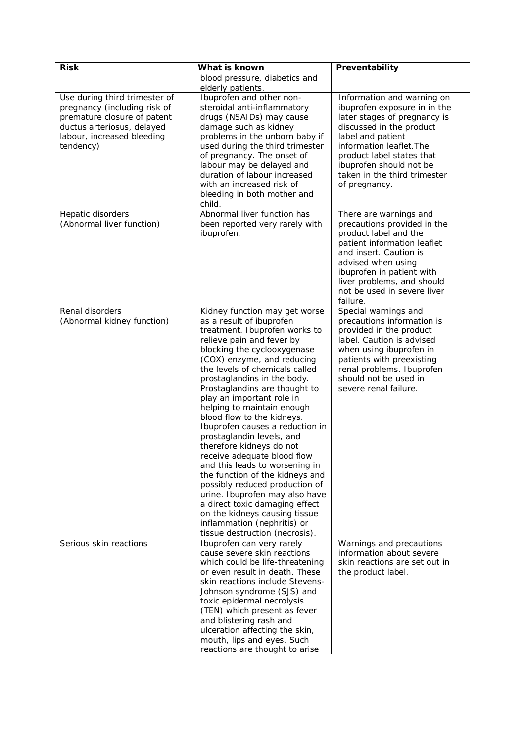| <b>Risk</b>                                                                                                                                                           | What is known                                                                                                                                                                                                                                                                                                                                                                                                                                                                                                                                                                                                                                                                                                                                                                           | Preventability                                                                                                                                                                                                                                                                   |
|-----------------------------------------------------------------------------------------------------------------------------------------------------------------------|-----------------------------------------------------------------------------------------------------------------------------------------------------------------------------------------------------------------------------------------------------------------------------------------------------------------------------------------------------------------------------------------------------------------------------------------------------------------------------------------------------------------------------------------------------------------------------------------------------------------------------------------------------------------------------------------------------------------------------------------------------------------------------------------|----------------------------------------------------------------------------------------------------------------------------------------------------------------------------------------------------------------------------------------------------------------------------------|
|                                                                                                                                                                       | blood pressure, diabetics and<br>elderly patients.                                                                                                                                                                                                                                                                                                                                                                                                                                                                                                                                                                                                                                                                                                                                      |                                                                                                                                                                                                                                                                                  |
| Use during third trimester of<br>pregnancy (including risk of<br>premature closure of patent<br>ductus arteriosus, delayed<br>labour, increased bleeding<br>tendency) | Ibuprofen and other non-<br>steroidal anti-inflammatory<br>drugs (NSAIDs) may cause<br>damage such as kidney<br>problems in the unborn baby if<br>used during the third trimester<br>of pregnancy. The onset of<br>labour may be delayed and<br>duration of labour increased<br>with an increased risk of<br>bleeding in both mother and<br>child.                                                                                                                                                                                                                                                                                                                                                                                                                                      | Information and warning on<br>ibuprofen exposure in in the<br>later stages of pregnancy is<br>discussed in the product<br>label and patient<br>information leaflet. The<br>product label states that<br>ibuprofen should not be<br>taken in the third trimester<br>of pregnancy. |
| Hepatic disorders<br>(Abnormal liver function)                                                                                                                        | Abnormal liver function has<br>been reported very rarely with<br>ibuprofen.                                                                                                                                                                                                                                                                                                                                                                                                                                                                                                                                                                                                                                                                                                             | There are warnings and<br>precautions provided in the<br>product label and the<br>patient information leaflet<br>and insert. Caution is<br>advised when using<br>ibuprofen in patient with<br>liver problems, and should<br>not be used in severe liver<br>failure.              |
| Renal disorders<br>(Abnormal kidney function)                                                                                                                         | Kidney function may get worse<br>as a result of ibuprofen<br>treatment. Ibuprofen works to<br>relieve pain and fever by<br>blocking the cyclooxygenase<br>(COX) enzyme, and reducing<br>the levels of chemicals called<br>prostaglandins in the body.<br>Prostaglandins are thought to<br>play an important role in<br>helping to maintain enough<br>blood flow to the kidneys.<br>Ibuprofen causes a reduction in<br>prostaglandin levels, and<br>therefore kidneys do not<br>receive adequate blood flow<br>and this leads to worsening in<br>the function of the kidneys and<br>possibly reduced production of<br>urine. Ibuprofen may also have<br>a direct toxic damaging effect<br>on the kidneys causing tissue<br>inflammation (nephritis) or<br>tissue destruction (necrosis). | Special warnings and<br>precautions information is<br>provided in the product<br>label. Caution is advised<br>when using ibuprofen in<br>patients with preexisting<br>renal problems. Ibuprofen<br>should not be used in<br>severe renal failure.                                |
| Serious skin reactions                                                                                                                                                | Ibuprofen can very rarely<br>cause severe skin reactions<br>which could be life-threatening<br>or even result in death. These<br>skin reactions include Stevens-<br>Johnson syndrome (SJS) and<br>toxic epidermal necrolysis<br>(TEN) which present as fever<br>and blistering rash and<br>ulceration affecting the skin,<br>mouth, lips and eyes. Such<br>reactions are thought to arise                                                                                                                                                                                                                                                                                                                                                                                               | Warnings and precautions<br>information about severe<br>skin reactions are set out in<br>the product label.                                                                                                                                                                      |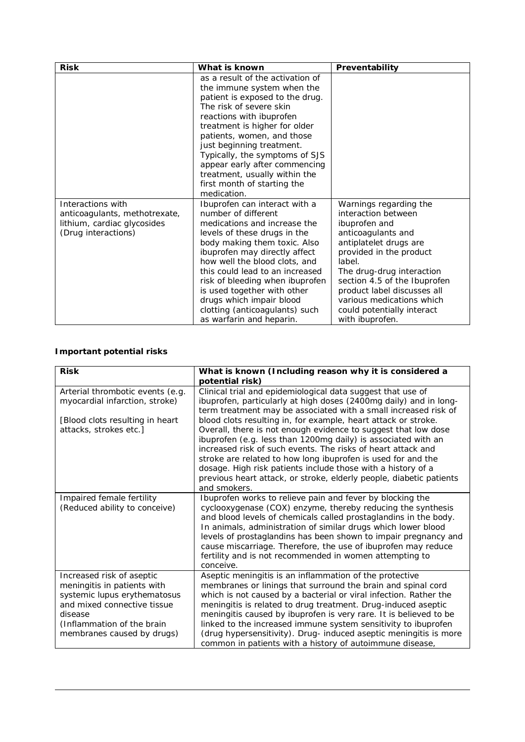| <b>Risk</b>                                                                                              | What is known                                                                                                                                                                                                                                                                                                                                                                                                         | Preventability                                                                                                                                                                                                                                                                                                                |
|----------------------------------------------------------------------------------------------------------|-----------------------------------------------------------------------------------------------------------------------------------------------------------------------------------------------------------------------------------------------------------------------------------------------------------------------------------------------------------------------------------------------------------------------|-------------------------------------------------------------------------------------------------------------------------------------------------------------------------------------------------------------------------------------------------------------------------------------------------------------------------------|
|                                                                                                          | as a result of the activation of<br>the immune system when the<br>patient is exposed to the drug.<br>The risk of severe skin<br>reactions with ibuprofen<br>treatment is higher for older<br>patients, women, and those<br>just beginning treatment.<br>Typically, the symptoms of SJS<br>appear early after commencing<br>treatment, usually within the<br>first month of starting the<br>medication.                |                                                                                                                                                                                                                                                                                                                               |
| Interactions with<br>anticoagulants, methotrexate,<br>lithium, cardiac glycosides<br>(Drug interactions) | Ibuprofen can interact with a<br>number of different<br>medications and increase the<br>levels of these drugs in the<br>body making them toxic. Also<br>ibuprofen may directly affect<br>how well the blood clots, and<br>this could lead to an increased<br>risk of bleeding when ibuprofen<br>is used together with other<br>drugs which impair blood<br>clotting (anticoagulants) such<br>as warfarin and heparin. | Warnings regarding the<br>interaction between<br>ibuprofen and<br>anticoagulants and<br>antiplatelet drugs are<br>provided in the product<br>label.<br>The drug-drug interaction<br>section 4.5 of the Ibuprofen<br>product label discusses all<br>various medications which<br>could potentially interact<br>with ibuprofen. |

## **Important potential risks**

| <b>Risk</b>                                                                                                                                                                                    | What is known (Including reason why it is considered a<br>potential risk)                                                                                                                                                                                                                                                                                                                                                                                                                                                             |
|------------------------------------------------------------------------------------------------------------------------------------------------------------------------------------------------|---------------------------------------------------------------------------------------------------------------------------------------------------------------------------------------------------------------------------------------------------------------------------------------------------------------------------------------------------------------------------------------------------------------------------------------------------------------------------------------------------------------------------------------|
| Arterial thrombotic events (e.g.<br>myocardial infarction, stroke)                                                                                                                             | Clinical trial and epidemiological data suggest that use of<br>ibuprofen, particularly at high doses (2400mg daily) and in long-<br>term treatment may be associated with a small increased risk of                                                                                                                                                                                                                                                                                                                                   |
| [Blood clots resulting in heart<br>attacks, strokes etc.]                                                                                                                                      | blood clots resulting in, for example, heart attack or stroke.<br>Overall, there is not enough evidence to suggest that low dose<br>ibuprofen (e.g. less than 1200mg daily) is associated with an<br>increased risk of such events. The risks of heart attack and<br>stroke are related to how long ibuprofen is used for and the<br>dosage. High risk patients include those with a history of a<br>previous heart attack, or stroke, elderly people, diabetic patients<br>and smokers.                                              |
| Impaired female fertility<br>(Reduced ability to conceive)                                                                                                                                     | Ibuprofen works to relieve pain and fever by blocking the<br>cyclooxygenase (COX) enzyme, thereby reducing the synthesis<br>and blood levels of chemicals called prostaglandins in the body.<br>In animals, administration of similar drugs which lower blood<br>levels of prostaglandins has been shown to impair pregnancy and<br>cause miscarriage. Therefore, the use of ibuprofen may reduce<br>fertility and is not recommended in women attempting to<br>conceive.                                                             |
| Increased risk of aseptic<br>meningitis in patients with<br>systemic lupus erythematosus<br>and mixed connective tissue<br>disease<br>(Inflammation of the brain<br>membranes caused by drugs) | Aseptic meningitis is an inflammation of the protective<br>membranes or linings that surround the brain and spinal cord<br>which is not caused by a bacterial or viral infection. Rather the<br>meningitis is related to drug treatment. Drug-induced aseptic<br>meningitis caused by ibuprofen is very rare. It is believed to be<br>linked to the increased immune system sensitivity to ibuprofen<br>(drug hypersensitivity). Drug- induced aseptic meningitis is more<br>common in patients with a history of autoimmune disease, |